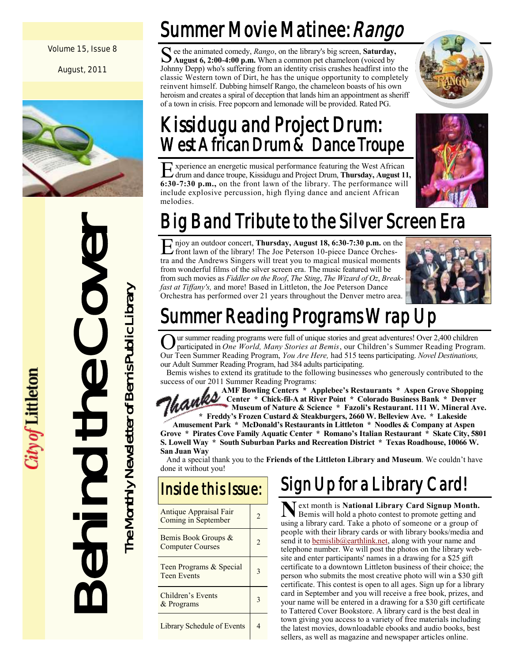Volume 15, Issue 8

August, 2011



Behind the Cover The Monthly Newsletter of Bemis Public Library The Monthly Newsletter of Bemis Public Library

*<i>ity of* Littleton

## Summer Movie Matinee: *Rango*

See the animated comedy, *Rango*, on the library's big screen, **Saturday,**<br>August 6, 2:00-4:00 p.m. When a common pet chameleon (voiced by **August 6, 2:00-4:00 p.m.** When a common pet chameleon (voiced by Johnny Depp) who's suffering from an identity crisis crashes headfirst into the classic Western town of Dirt, he has the unique opportunity to completely reinvent himself. Dubbing himself Rango, the chameleon boasts of his own heroism and creates a spiral of deception that lands him an appointment as sheriff of a town in crisis. Free popcorn and lemonade will be provided. Rated PG.

## Kissidugu and Project Drum: West African Drum & Dance Troupe

Experience an energetic musical performance featuring the West African<br>
calcum and dance troupe, Kissidugu and Project Drum, Thursday, August 1 drum and dance troupe, Kissidugu and Project Drum, **Thursday, August 11, 6:30-7:30 p.m.,** on the front lawn of the library. The performance will include explosive percussion, high flying dance and ancient African melodies.



E njoy an outdoor concert, Thursday, August 18, 6:30-7:30 p.m. on the front lawn of the library! The Joe Peterson 10-piece Dance Orchestra and the Andrews Singers will treat you to magical musical moments njoy an outdoor concert, **Thursday, August 18, 6:30-7:30 p.m.** on the front lawn of the library! The Joe Peterson 10-piece Dance Orchesfrom wonderful films of the silver screen era. The music featured will be from such movies as *Fiddler on the Roof*, *The Sting*, *The Wizard of Oz*, *Breakfast at Tiffany's,* and more! Based in Littleton, the Joe Peterson Dance Orchestra has performed over 21 years throughout the Denver metro area.



## Summer Reading Programs Wrap Up

Our summer reading programs were full of unique stories and great adventures! Over 2,400 children participated in *One World, Many Stories at Bemis*, our Children's Summer Reading Program Our Teen Summer Reading Program, ur summer reading programs were full of unique stories and great adventures! Over 2,400 children participated in *One World, Many Stories at Bemis*, our Children's Summer Reading Program. our Adult Summer Reading Program, had 384 adults participating.

Bemis wishes to extend its gratitude to the following businesses who generously contributed to the success of our 2011 Summer Reading Programs:

 **AMF Bowling Centers \* Applebee's Restaurants \* Aspen Grove Shopping Center \* Chick-fil-A at River Point \* Colorado Business Bank \* Denver Museum of Nature & Science \* Fazoli's Restaurant. 111 W. Mineral Ave.**

 **\* Freddy's Frozen Custard & Steakburgers, 2660 W. Belleview Ave. \* Lakeside Amusement Park \* McDonald's Restaurants in Littleton \* Noodles & Company at Aspen Grove \* Pirates Cove Family Aquatic Center \* Romano's Italian Restaurant \* Skate City, 5801 S. Lowell Way \* South Suburban Parks and Recreation District \* Texas Roadhouse, 10066 W. San Juan Way**

And a special thank you to the **Friends of the Littleton Library and Museum**. We couldn't have done it without you!

### Inside this Issue:

| Antique Appraisal Fair<br>Coming in September  |  |
|------------------------------------------------|--|
| Bemis Book Groups &<br><b>Computer Courses</b> |  |
| Teen Programs & Special<br><b>Teen Events</b>  |  |
| Children's Events<br>& Programs                |  |
| <b>Library Schedule of Events</b>              |  |

## Sign Up for a Library Card!

**N** ext month is **National Library Card Signup Month.**<br>Bemis will hold a photo contest to promote getting and Bemis will hold a photo contest to promote getting and using a library card. Take a photo of someone or a group of people with their library cards or with library books/media and send it to **bemislib@earthlink.net**, along with your name and telephone number. We will post the photos on the library website and enter participants' names in a drawing for a \$25 gift certificate to a downtown Littleton business of their choice; the person who submits the most creative photo will win a \$30 gift certificate. This contest is open to all ages. Sign up for a library card in September and you will receive a free book, prizes, and your name will be entered in a drawing for a \$30 gift certificate to Tattered Cover Bookstore. A library card is the best deal in town giving you access to a variety of free materials including the latest movies, downloadable ebooks and audio books, best sellers, as well as magazine and newspaper articles online.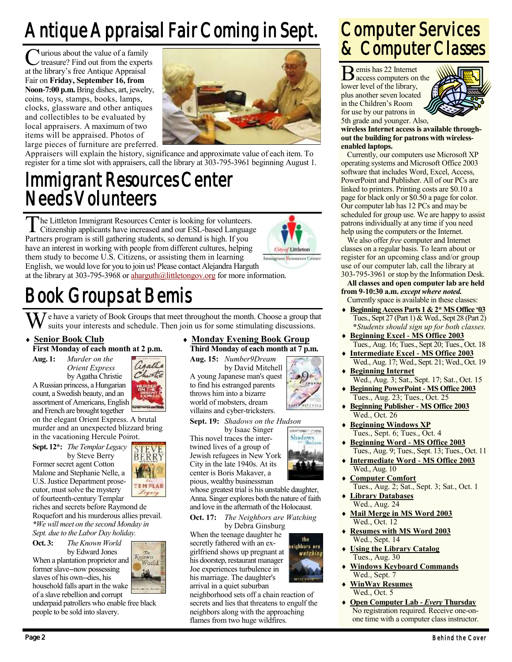## Antique Appraisal Fair Coming in Sept.

**C** urious about the value of a family<br>treasure? Find out from the exper<br>at the library's free Antique Appraisal urious about the value of a family treasure? Find out from the experts Fair on **Friday, September 16, from Noon-7:00 p.m.** Bring dishes, art, jewelry, coins, toys, stamps, books, lamps, clocks, glassware and other antiques and collectibles to be evaluated by local appraisers. A maximum of two items will be appraised. Photos of large pieces of furniture are preferred.



Appraisers will explain the history, significance and approximate value of each item. To register for a time slot with appraisers, call the library at 303-795-3961 beginning August 1.

## Immigrant Resources Center Needs Volunteers

The Littleton Immigrant Resources Center is looking for volunteers<br>Citizenship applicants have increased and our ESL-based Language<br>Partners program is still gathering students, so demand is high. If you he Littleton Immigrant Resources Center is looking for volunteers. Citizenship applicants have increased and our ESL-based Language have an interest in working with people from different cultures, helping them study to become U.S. Citizens, or assisting them in learning English, we would love for you to join us! Please contact Alejandra Harguth at the library at 303-795-3968 or [aharguth@littletongov.org](mailto:aharguth@littletongov.org) for more information.

## Book Groups at Bemis

 $\mathcal I$  e have a variety of Book Groups that meet throughout the month. Choose a group that suits your interests and schedule. Then join us for some stimulating discussions.

### **Senior Book Club**

### **First Monday of each month at 2 p.m.**

**Aug. 1:** *Murder on the Orient Express*

by Agatha Christie A Russian princess, a Hungarian count, a Swedish beauty, and an assortment of Americans, English and French are brought together

on the elegant Orient Express. A brutal murder and an unexpected blizzard bring in the vacationing Hercule Poirot.

**Sept. 12\*:** *The Templar Legacy*

by Steve Berry Former secret agent Cotton Malone and Stephanie Nelle, a U.S. Justice Department prosecutor, must solve the mystery of fourteenth-century Templar

riches and secrets before Raymond de Roquefort and his murderous allies prevail. *\*We will meet on the second Monday in Sept. due to the Labor Day holiday.*

**Oct. 3:** *The Known World*

by Edward Jones When a plantation proprietor and former slave--now possessing slaves of his own--dies, his household falls apart in the wake of a slave rebellion and corrupt



TEMPLAR

underpaid patrollers who enable free black people to be sold into slavery.

### **Monday Evening Book Group Third Monday of each month at 7 p.m.**

**City of Littleton** 

**PARTINHALL TURNS** Shadow

the righbors are watching

**Aug. 15:** *Number9Dream* by David Mitchell A young Japanese man's quest to find his estranged parents throws him into a bizarre world of mobsters, dream villains and cyber-tricksters.

**Sept. 19:** *Shadows on the Hudson*

by Isaac Singer This novel traces the intertwined lives of a group of Jewish refugees in New York City in the late 1940s. At its center is Boris Makaver, a pious, wealthy businessman

whose greatest trial is his unstable daughter, Anna. Singer explores both the nature of faith and love in the aftermath of the Holocaust.

**Oct. 17:** *The Neighbors are Watching*

by Debra Ginsburg When the teenage daughter he secretly fathered with an exgirlfriend shows up pregnant at his doorstep, restaurant manager Joe experiences turbulence in his marriage. The daughter's arrival in a quiet suburban

neighborhood sets off a chain reaction of secrets and lies that threatens to engulf the neighbors along with the approaching flames from two huge wildfires.

## Computer Services & Computer Classes

B emis has 22 Internet access computers on the lower level of the library, plus another seven located in the Children's Room for use by our patrons in 5th grade and younger. Also,



**wireless Internet access is available throughout the building for patrons with wirelessenabled laptops.**

Currently, our computers use Microsoft XP operating systems and Microsoft Office 2003 software that includes Word, Excel, Access, PowerPoint and Publisher. All of our PCs are linked to printers. Printing costs are \$0.10 a page for black only or \$0.50 a page for color. Our computer lab has 12 PCs and may be scheduled for group use. We are happy to assist patrons individually at any time if you need help using the computers or the Internet.

We also offer *free* computer and Internet classes on a regular basis. To learn about or register for an upcoming class and/or group use of our computer lab, call the library at 303-795-3961 or stop by the Information Desk.

### **All classes and open computer lab are held from 9-10:30 a.m.** *except where noted.*

- Currently space is available in these classes: **Beginning Access Parts 1 & 2\* MS Office '03**
- Tues., Sept 27 (Part 1) & Wed., Sept 28 (Part 2) **\****Students should sign up for both classes.*
- **Beginning Excel - MS Office 2003** Tues., Aug. 16; Tues., Sept 20; Tues., Oct. 18
- **Intermediate Excel - MS Office 2003** Wed., Aug. 17; Wed., Sept. 21; Wed., Oct. 19 **Beginning Internet**
- Wed., Aug. 3; Sat., Sept. 17; Sat., Oct. 15 **Beginning PowerPoint - MS Office 2003**
- Tues., Aug. 23; Tues., Oct. 25
- **Beginning Publisher - MS Office 2003** Wed., Oct. 26
- **Beginning Windows XP** Tues., Sept. 6; Tues., Oct. 4
- **Beginning Word - MS Office 2003** Tues., Aug. 9; Tues., Sept. 13; Tues., Oct. 11
- **Intermediate Word - MS Office 2003** Wed., Aug. 10
- **Computer Comfort** Tues., Aug. 2; Sat., Sept. 3; Sat., Oct. 1
- **Library Databases** Wed., Aug. 24
- **Mail Merge in MS Word 2003** Wed., Oct. 12
- **Resumes with MS Word 2003** Wed., Sept. 14
- **Using the Library Catalog** Tues., Aug. 30
- **Windows Keyboard Commands** Wed., Sept. 7
- **WinWay Resumes** Wed., Oct. 5
- **Open Computer Lab -** *Every* **Thursday** No registration required. Receive one-onone time with a computer class instructor.

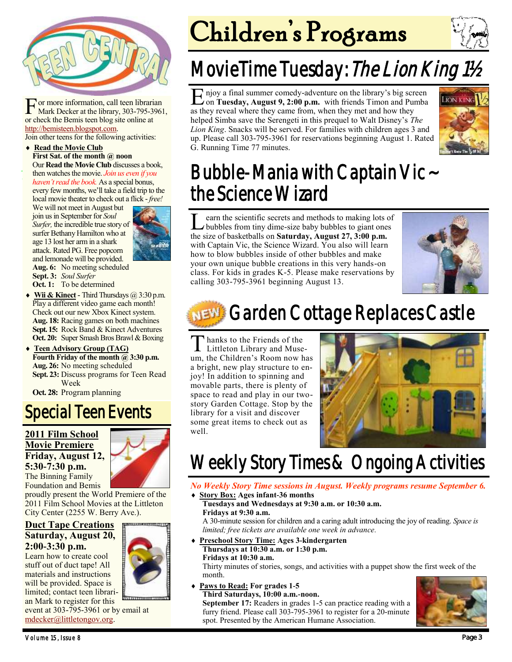

For more information, call teen libraris<br>Mark Decker at the library, 303-795-39<br>or check the Bemis teen blog site online at or more information, call teen librarian Mark Decker at the library, 303-795-3961, [http://bemisteen.blogspot.com.](http://bemisteen.blogspot.com)

Join other teens for the following activities:

#### **Read the Movie Club First Sat. of the month @ noon** Our **Read the Movie Club** discusses a book,

then watches the movie. *Join us even if you haven't read the book.* As a special bonus, every few months, we'll take a field trip to the local movie theater to check out a flick - *free!* 

We will not meet in August but join us in September for *Soul Surfer,* the incredible true story of surfer Bethany Hamilton who at age 13 lost her arm in a shark attack. Rated PG. Free popcorn and lemonade will be provided. **Aug. 6:** No meeting scheduled **Sept. 3:** *Soul Surfer* **Oct. 1:** To be determined



**Wii & Kinect -** Third Thursdays @ 3:30 p.m. Play a different video game each month! Check out our new Xbox Kinect system. **Aug. 18:** Racing games on both machines **Sept. 15:** Rock Band & Kinect Adventures **Oct. 20:** Super Smash Bros Brawl & Boxing

 **Teen Advisory Group (TAG) Fourth Friday of the month @ 3:30 p.m. Aug. 26:** No meeting scheduled **Sept. 23:** Discuss programs for Teen Read Week

**Oct. 28:** Program planning

### Special Teen Events

### **2011 Film School Movie Premiere Friday, August 12, 5:30-7:30 p.m.** The Binning Family Foundation and Bemis



proudly present the World Premiere of the 2011 Film School Movies at the Littleton City Center (2255 W. Berry Ave.).

### **Duct Tape Creations Saturday, August 20, 2:00-3:30 p.m.**

Learn how to create cool stuff out of duct tape! All materials and instructions will be provided. Space is limited; contact teen librarian Mark to register for this

event at 303-795-3961 or by email at [mdecker@littletongov.org.](mailto:mdecker@littletongov.org)

# Children's Programs

## MovieTime Tuesday: The Lion King 11/2

E njoy a final summer comedy-adventure on the library's big screen<br>on Tuesday, August 9, 2:00 p.m. with friends Timon and Pumba on **Tuesday, August 9, 2:00 p.m.** with friends Timon and Pumba as they reveal where they came from, when they met and how they helped Simba save the Serengeti in this prequel to Walt Disney's *The Lion King*. Snacks will be served. For families with children ages 3 and up. Please call 303-795-3961 for reservations beginning August 1. Rated G. Running Time 77 minutes.



## Bubble-Mania with Captain Vic ~ the Science Wizard

**L** earn the scientific secrets and methods to making lots on bubbles from tiny dime-size baby bubbles to giant ones the size of basketballs on **Saturday, August 27, 3:00 p.m.** earn the scientific secrets and methods to making lots of bubbles from tiny dime-size baby bubbles to giant ones with Captain Vic, the Science Wizard. You also will learn how to blow bubbles inside of other bubbles and make your own unique bubble creations in this very hands-on class. For kids in grades K-5. Please make reservations by calling 303-795-3961 beginning August 13.



## Garden Cottage Replaces Castle

Thanks to the Friends of the<br>Littleton Library and Muse Littleton Library and Museum, the Children's Room now has a bright, new play structure to enjoy! In addition to spinning and movable parts, there is plenty of space to read and play in our twostory Garden Cottage. Stop by the library for a visit and discover some great items to check out as well.



## Weekly Story Times & Ongoing Activities

#### *No Weekly Story Time sessions in August. Weekly programs resume September 6.* **Story Box: Ages infant-36 months**

### **Tuesdays and Wednesdays at 9:30 a.m. or 10:30 a.m. Fridays at 9:30 a.m.**

A 30-minute session for children and a caring adult introducing the joy of reading. *Space is limited; free tickets are available one week in advance.*

 **Preschool Story Time: Ages 3-kindergarten Thursdays at 10:30 a.m. or 1:30 p.m. Fridays at 10:30 a.m.**

Thirty minutes of stories, songs, and activities with a puppet show the first week of the month.

 **Paws to Read: For grades 1-5 Third Saturdays, 10:00 a.m.-noon.**

**September 17:** Readers in grades 1-5 can practice reading with a furry friend. Please call 303-795-3961 to register for a 20-minute spot. Presented by the American Humane Association.